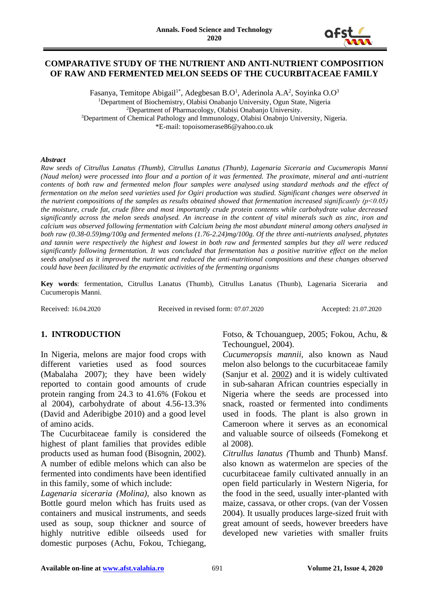

#### **COMPARATIVE STUDY OF THE NUTRIENT AND ANTI-NUTRIENT COMPOSITION OF RAW AND FERMENTED MELON SEEDS OF THE CUCURBITACEAE FAMILY**

Fasanya, Temitope Abigail $^{\text{1*}}$ , Adegbesan B.O $^{\text{l}}$ , Aderinola A.A $^{\text{2}}$ , Soyinka O.O $^{\text{3}}$ <sup>1</sup>Department of Biochemistry, Olabisi Onabanjo University, Ogun State, Nigeria <sup>2</sup>Department of Pharmacology, Olabisi Onabanjo University. <sup>3</sup>Department of Chemical Pathology and Immunology, Olabisi Onabnjo University, Nigeria. \*E-mail: topoisomerase86@yahoo.co.uk

#### *Abstract*

*Raw seeds of Citrullus Lanatus (Thumb), Citrullus Lanatus (Thunb), Lagenaria Siceraria and Cucumeropis Manni (Naud melon) were processed into flour and a portion of it was fermented. The proximate, mineral and anti-nutrient contents of both raw and fermented melon flour samples were analysed using standard methods and the effect of fermentation on the melon seed varieties used for Ogiri production was studied. Significant changes were observed in the nutrient compositions of the samples as results obtained showed that fermentation increased significantly (p*<0.05) *the moisture, crude fat, crude fibre and most importantly crude protein contents while carbohydrate value decreased significantly across the melon seeds analysed. An increase in the content of vital minerals such as zinc, iron and calcium was observed following fermentation with Calcium being the most abundant mineral among others analysed in both raw (0.38-0.59)mg/100g and fermented melons (1.76-2.24)mg/100g. Of the three anti-nutrients analysed, phytates and tannin were respectively the highest and lowest in both raw and fermented samples but they all were reduced significantly following fermentation. It was concluded that fermentation has a positive nutritive effect on the melon seeds analysed as it improved the nutrient and reduced the anti-nutritional compositions and these changes observed could have been facilitated by the enzymatic activities of the fermenting organisms*

**Key words**: fermentation, Citrullus Lanatus (Thumb), Citrullus Lanatus (Thunb), Lagenaria Siceraria and Cucumeropis Manni.

Received: 16.04.2020 Received in revised form: 07.07.2020 Accepted: 21.07.2020

# **1. INTRODUCTION**

In Nigeria, melons are major food crops with different varieties used as food sources (Mabalaha 2007); they have been widely reported to contain good amounts of crude protein ranging from 24.3 to 41.6% (Fokou et al 2004), carbohydrate of about 4.56-13.3% (David and Aderibigbe 2010) and a good level of amino acids.

The Cucurbitaceae family is considered the highest of plant families that provides edible products used as human food (Bisognin, 2002). A number of edible melons which can also be fermented into condiments have been identified in this family, some of which include:

*Lagenaria siceraria (Molina)*, also known as Bottle gourd melon which has fruits used as containers and musical instruments, and seeds used as soup, soup thickner and source of highly nutritive edible oilseeds used for domestic purposes (Achu, Fokou, Tchiegang,

Fotso, & Tchouanguep, 2005; Fokou, Achu, & Techounguel, 2004).

*Cucumeropsis mannii,* also known as Naud melon also belongs to the cucurbitaceae family (Sanjur et al. [2002\)](https://www.ncbi.nlm.nih.gov/pmc/articles/PMC4519480/#CR30) and it is widely cultivated in sub-saharan African countries especially in Nigeria where the seeds are processed into snack, roasted or fermented into condiments used in foods. The plant is also grown in Cameroon where it serves as an economical and valuable source of oilseeds (Fomekong et al 2008).

*Citrullus lanatus (*Thumb and Thunb) Mansf. also known as watermelon are species of the cucurbitaceae family cultivated annually in an open field particularly in Western Nigeria, for the food in the seed, usually inter-planted with maize, cassava, or other crops. (van der Vossen 2004). It usually produces large-sized fruit with great amount of seeds, however breeders have developed new varieties with smaller fruits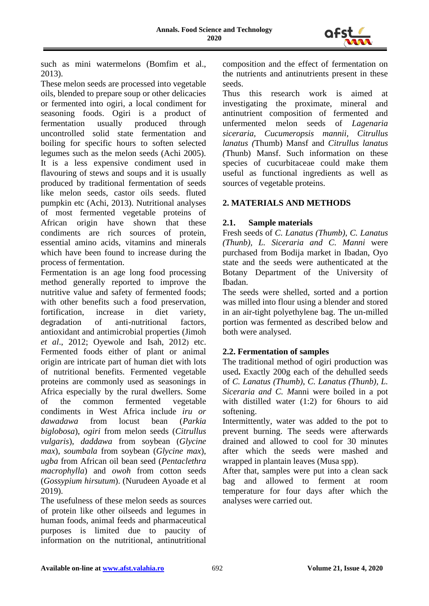

such as mini watermelons [\(Bomfim et al.,](http://www.scielo.br/scielo.php?script=sci_arttext&pid=S0100-204X2015000100044#B06)  [2013\)](http://www.scielo.br/scielo.php?script=sci_arttext&pid=S0100-204X2015000100044#B06).

These melon seeds are processed into vegetable oils, blended to prepare soup or other delicacies or fermented into ogiri, a local condiment for seasoning foods. Ogiri is a product of fermentation usually produced through uncontrolled solid state fermentation and boiling for specific hours to soften selected legumes such as the melon seeds (Achi 2005). It is a less expensive condiment used in flavouring of stews and soups and it is usually produced by traditional fermentation of seeds like melon seeds, castor oils seeds. fluted pumpkin etc (Achi, 2013). Nutritional analyses of most fermented vegetable proteins of African origin have shown that these condiments are rich sources of protein, essential amino acids, vitamins and minerals which have been found to increase during the process of fermentation.

Fermentation is an age long food processing method generally reported to improve the nutritive value and safety of fermented foods; with other benefits such a food preservation, fortification, increase in diet variety, degradation of anti-nutritional factors, antioxidant and antimicrobial properties [\(Jimoh](https://scialert.net/fulltext/?doi=mj.2016.9.14#1533634_ja)  *[et al](https://scialert.net/fulltext/?doi=mj.2016.9.14#1533634_ja)*[., 2012;](https://scialert.net/fulltext/?doi=mj.2016.9.14#1533634_ja) [Oyewole and Isah, 2012](https://scialert.net/fulltext/?doi=mj.2016.9.14#1201866_ja)) etc. Fermented foods either of plant or animal origin are intricate part of human diet with lots of nutritional benefits. Fermented vegetable proteins are commonly used as seasonings in Africa especially by the rural dwellers. Some of the common fermented vegetable condiments in West Africa include *iru or dawadawa* from locust bean (*Parkia biglobosa*), *ogiri* from melon seeds (*Citrullus vulgaris*), *daddawa* from soybean (*Glycine max*), *soumbala* from soybean (*Glycine max*), *ugba* from African oil bean seed (*Pentaclethra macrophylla*) and *owoh* from cotton seeds (*Gossypium hirsutum*). (Nurudeen Ayoade et al 2019).

The usefulness of these melon seeds as sources of protein like other oilseeds and legumes in human foods, animal feeds and pharmaceutical purposes is limited due to paucity of information on the nutritional, antinutritional

composition and the effect of fermentation on the nutrients and antinutrients present in these seeds.

Thus this research work is aimed at investigating the proximate, mineral and antinutrient composition of fermented and unfermented melon seeds of *Lagenaria siceraria, Cucumeropsis mannii, Citrullus lanatus (*Thumb) Mansf and *Citrullus lanatus (*Thunb) Mansf. Such information on these species of cucurbitaceae could make them useful as functional ingredients as well as sources of vegetable proteins.

# **2. MATERIALS AND METHODS**

# **2.1. Sample materials**

Fresh seeds of *C. Lanatus (Thumb)*, *C. Lanatus (Thunb), L. Siceraria and C. Manni* were purchased from Bodija market in Ibadan, Oyo state and the seeds were authenticated at the Botany Department of the University of Ibadan.

The seeds were shelled, sorted and a portion was milled into flour using a blender and stored in an air-tight polyethylene bag. The un-milled portion was fermented as described below and both were analysed.

# **2.2. Fermentation of samples**

The traditional method of ogiri production was used**.** Exactly 200g each of the dehulled seeds of *C. Lanatus (Thumb)*, *C. Lanatus (Thunb), L. Siceraria and C. M*anni were boiled in a pot with distilled water (1:2) for 6hours to aid softening.

Intermittently, water was added to the pot to prevent burning. The seeds were afterwards drained and allowed to cool for 30 minutes after which the seeds were mashed and wrapped in plantain leaves (Musa spp).

After that, samples were put into a clean sack bag and allowed to ferment at room temperature for four days after which the analyses were carried out.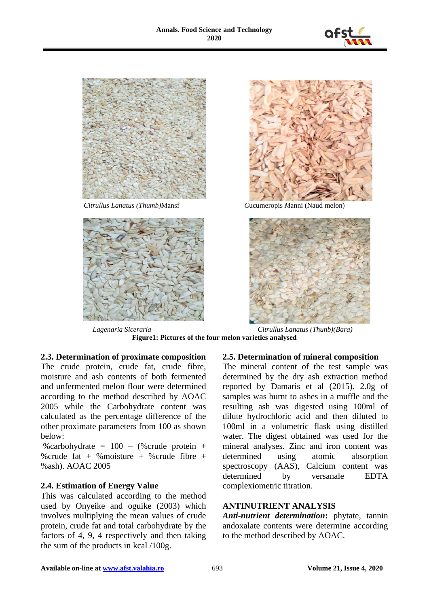







*Citrullus Lanatus (Thumb)*Mansf *C*ucumeropis *M*anni (Naud melon)



*Lagenaria Siceraria Citrullus Lanatus (Thunb)(Bara)* **Figure1: Pictures of the four melon varieties analysed**

**2.3. Determination of proximate composition**

The crude protein, crude fat, crude fibre, moisture and ash contents of both fermented and unfermented melon flour were determined according to the method described by AOAC 2005 while the Carbohydrate content was calculated as the percentage difference of the other proximate parameters from 100 as shown below:

%carbohydrate =  $100 - (%crude protein +$ %crude fat + %moisture + %crude fibre + %ash). AOAC 2005

# **2.4. Estimation of Energy Value**

This was calculated according to the method used by Onyeike and oguike (2003) which involves multiplying the mean values of crude protein, crude fat and total carbohydrate by the factors of 4, 9, 4 respectively and then taking the sum of the products in kcal /100g.

# **2.5. Determination of mineral composition**

The mineral content of the test sample was determined by the dry ash extraction method reported by Damaris et al (2015). 2.0g of samples was burnt to ashes in a muffle and the resulting ash was digested using 100ml of dilute hydrochloric acid and then diluted to 100ml in a volumetric flask using distilled water. The digest obtained was used for the mineral analyses. Zinc and iron content was determined using atomic absorption spectroscopy (AAS), Calcium content was determined by versanale EDTA complexiometric titration.

#### **ANTINUTRIENT ANALYSIS**

*Anti-nutrient determination***:** phytate, tannin andoxalate contents were determine according to the method described by AOAC.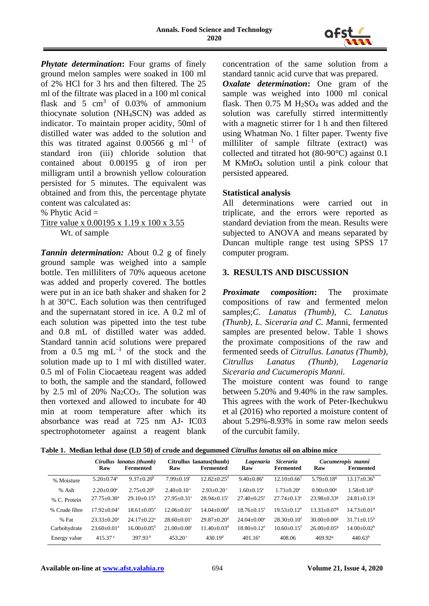

*Phytate determination***:** Four grams of finely ground melon samples were soaked in 100 ml of 2% HCl for 3 hrs and then filtered. The 25 ml of the filtrate was placed in a 100 ml conical flask and  $5 \text{ cm}^3$  of 0.03% of ammonium thiocynate solution (NH4SCN) was added as indicator. To maintain proper acidity, 50ml of distilled water was added to the solution and this was titrated against 0.00566 g  $ml^{-1}$  of standard iron (iii) chloride solution that contained about 0.00195 g of iron per milligram until a brownish yellow colouration persisted for 5 minutes. The equivalent was obtained and from this, the percentage phytate content was calculated as:

% Phytic Acid =

Titre value x 0.00195 x 1.19 x 100 x 3.55 Wt. of sample

*Tannin determination:* About 0.2 g of finely ground sample was weighed into a sample bottle. Ten milliliters of 70% aqueous acetone was added and properly covered. The bottles were put in an ice bath shaker and shaken for 2 h at 30°C. Each solution was then centrifuged and the supernatant stored in ice. A 0.2 ml of each solution was pipetted into the test tube and 0.8 mL of distilled water was added. Standard tannin acid solutions were prepared from a 0.5 mg  $mL^{-1}$  of the stock and the solution made up to 1 ml with distilled water. 0.5 ml of Folin Ciocaeteau reagent was added to both, the sample and the standard, followed by 2.5 ml of 20%  $Na<sub>2</sub>CO<sub>3</sub>$ . The solution was then vortexed and allowed to incubate for 40 min at room temperature after which its absorbance was read at 725 nm AJ- IC03 spectrophotometer against a reagent blank

concentration of the same solution from a standard tannic acid curve that was prepared. *Oxalate determination***:** One gram of the sample was weighed into 1000 ml conical flask. Then  $0.75$  M  $H<sub>2</sub>SO<sub>4</sub>$  was added and the solution was carefully stirred intermittently with a magnetic stirrer for 1 h and then filtered using Whatman No. 1 filter paper. Twenty five milliliter of sample filtrate (extract) was collected and titrated hot (80-90°C) against 0.1 M KMnO<sup>4</sup> solution until a pink colour that persisted appeared.

#### **Statistical analysis**

All determinations were carried out in triplicate, and the errors were reported as standard deviation from the mean. Results were subjected to ANOVA and means separated by Duncan multiple range test using SPSS 17 computer program.

# **3. RESULTS AND DISCUSSION**

*Proximate composition***:** The proximate compositions of raw and fermented melon samples;*C. Lanatus (Thumb)*, *C. Lanatus (Thunb), L. Siceraria and C. M*anni, fermented samples are presented below. Table 1 shows the proximate compositions of the raw and fermented seeds of *Citrullus. Lanatus (Thumb), Citrullus Lanatus (Thunb), Lagenaria Siceraria and Cucumeropis Manni.*

The moisture content was found to range between 5.20% and 9.40% in the raw samples. This agrees with the work of Peter-Ikechukwu et al (2016) who reported a moisture content of about 5.29%-8.93% in some raw melon seeds of the curcubit family.

| Table 1. Median lethal dose (LD 50) of crude and degummed Citrullus lanatus oil on albino mice |  |
|------------------------------------------------------------------------------------------------|--|
|------------------------------------------------------------------------------------------------|--|

|               | Cirullus lanatus (thumb)     |                        | Citrullus lanatus(thunb)    |                               | Lagenaria                    | <i>Siceraria</i>            | Cucumeropis manni            |                               |
|---------------|------------------------------|------------------------|-----------------------------|-------------------------------|------------------------------|-----------------------------|------------------------------|-------------------------------|
|               | Raw                          | Fermented              | Raw                         | <b>Fermented</b>              | Raw                          | Fermented                   | Raw                          | Fermented                     |
| % Moisture    | $5.20 \pm 0.74$ <sup>a</sup> | $9.37+0.20b$           | $7.99 + 0.19$ <sup>c</sup>  | $12.82 + 0.25$ <sup>d</sup>   | $9.40 \pm 0.86$ <sup>e</sup> | $12.10 + 0.66$ <sup>f</sup> | $5.79 \pm 0.18$ <sup>g</sup> | $13.17 \pm 0.36^{\rm h}$      |
| % Ash         | $2.20+0.00^a$                | $2.75+0.20b$           | $2.40+0.10^{\circ}$         | $2.93+0.20^{\circ}$           | $1.60+0.15^e$                | $1.73 + 0.20^e$             | $0.90 + 0.00$ <sup>g</sup>   | $1.58 \pm 0.10^h$             |
| % C. Protein  | $27.75 + 0.30^{\circ}$       | $29.10+0.15^{\rm b}$   | $27.95 + 0.31$ °            | $28.94 + 0.15$ °              | $27.40 + 0.25$ <sup>e</sup>  | $27.74 + 0.13^e$            | $23.98 + 0.33$ <sup>g</sup>  | $24.81 + 0.13$ <sup>g</sup>   |
| % Crude fibre | $17.92 + 0.04^a$             | $18.61 + 0.05^a$       | $12.06 + 0.01$ <sup>c</sup> | $14.04 + 0.00d$               | $18.76 + 0.15$ <sup>e</sup>  | $19.53 + 0.12^e$            | $13.33 + 0.07$ <sup>g</sup>  | $14.73 + 0.01$ <sup>s</sup>   |
| % Fat         | $23.33+0.20^a$               | $24.17 + 0.22^a$       | $28.60+0.01^{\circ}$        | $29.87 + 0.20$ <sup>d</sup>   | $24.04 + 0.00^e$             | $28.30+0.10f$               | $30.00 + 0.00$ <sup>g</sup>  | $31.71 + 0.15h$               |
| Carbohydrate  | $23.60 + 0.01a$              | $16.00 + 0.05^{\rm b}$ | $21.00+0.00^{\circ}$        | $11.40 \pm 0.03$ <sup>d</sup> | $18.80 + 0.12$ <sup>e</sup>  | $10.60 + 0.15$ <sup>f</sup> | $26.00+0.05$ <sup>g</sup>    | $14.00 \pm 0.02$ <sup>h</sup> |
| Energy value  | 415.37 <sup>a</sup>          | 397.93 $^{\rm b}$      | $453.20^{\circ}$            | 430.19 <sup>d</sup>           | $401.16^e$                   | 408.06                      | $469.92$ <sup>g</sup>        | 440.63 <sup>h</sup>           |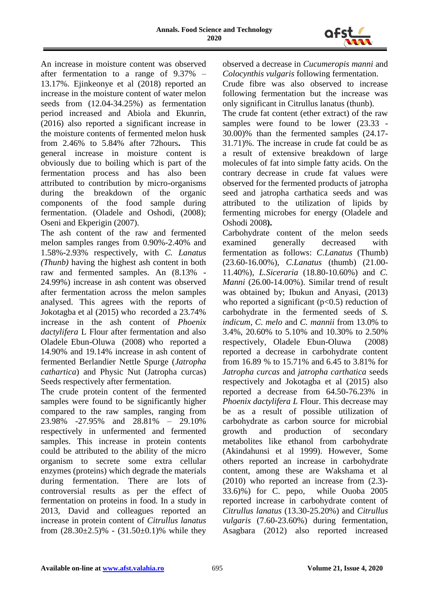

An increase in moisture content was observed after fermentation to a range of 9.37% – 13.17%. Ejinkeonye et al (2018) reported an increase in the moisture content of water melon seeds from (12.04-34.25%) as fermentation period increased and Abiola and Ekunrin, (2016) also reported a significant increase in the moisture contents of fermented melon husk from 2.46% to 5.84% after 72hours**.** This general increase in moisture content is obviously due to boiling which is part of the fermentation process and has also been attributed to contribution by micro-organisms during the breakdown of the organic components of the food sample during fermentation. (Oladele and Oshodi, (2008); Oseni and Ekperigin (2007).

The ash content of the raw and fermented melon samples ranges from 0.90%-2.40% and 1.58%-2.93% respectively, with *C. Lanatus (Thunb)* having the highest ash content in both raw and fermented samples. An (8.13% - 24.99%) increase in ash content was observed after fermentation across the melon samples analysed. This agrees with the reports of Jokotagba et al (2015) who recorded a 23.74% increase in the ash content of *Phoenix dactylifera* L Flour after fermentation and also Oladele Ebun-Oluwa (2008) who reported a 14.90% and 19.14% increase in ash content of fermented Berlandier Nettle Spurge (*Jatropha cathartica*) and Physic Nut (Jatropha curcas) Seeds respectively after fermentation.

The crude protein content of the fermented samples were found to be significantly higher compared to the raw samples, ranging from 23.98% -27.95% and 28.81% – 29.10% respectively in unfermented and fermented samples. This increase in protein contents could be attributed to the ability of the micro organism to secrete some extra cellular enzymes (proteins) which degrade the materials during fermentation. There are lots of controversial results as per the effect of fermentation on proteins in food. In a study in 2013, David and colleagues reported an increase in protein content of *Citrullus lanatus* from  $(28.30 \pm 2.5)\%$  -  $(31.50 \pm 0.1)\%$  while they observed a decrease in *Cucumeropis manni* and *Colocynthis vulgaris* following fermentation.

Crude fibre was also observed to increase following fermentation but the increase was only significant in Citrullus lanatus (thunb).

The crude fat content (ether extract) of the raw samples were found to be lower (23.33 - 30.00)% than the fermented samples (24.17- 31.71)%. The increase in crude fat could be as a result of extensive breakdown of large molecules of fat into simple fatty acids. On the contrary decrease in crude fat values were observed for the fermented products of jatropha seed and jatropha carthatica seeds and was attributed to the utilization of lipids by fermenting microbes for energy (Oladele and Oshodi 2008**).** 

Carbohydrate content of the melon seeds examined generally decreased with fermentation as follows: *C.Lanatus* (Thumb) (23.60-16.00%), *C.Lanatus* (thumb) (21.00- 11.40%), *L.Siceraria* (18.80-10.60%) and *C. Manni* (26.00-14.00%). Similar trend of result was obtained by; Ibukun and Anyasi, (2013) who reported a significant  $(p<0.5)$  reduction of carbohydrate in the fermented seeds of *S. indicum*, *C. melo* and *C. mannii* from 13.0% to 3.4%, 20.60% to 5.10% and 10.30% to 2.50% respectively, Oladele Ebun-Oluwa (2008) reported a decrease in carbohydrate content from 16.89 % to 15.71% and 6.45 to 3.81% for *Jatropha curcas* and *jatropha carthatica* seeds respectively and Jokotagba et al (2015) also reported a decrease from 64.50-76.23% in *Phoenix dactylifera L* Flour. This decrease may be as a result of possible utilization of carbohydrate as carbon source for microbial growth and production of secondary metabolites like ethanol from carbohydrate (Akindahunsi et al 1999). However, Some others reported an increase in carbohydrate content, among these are Wakshama et al (2010) who reported an increase from (2.3)- 33.6)%) for C. pepo, while Ouoba 2005 reported increase in carbohydrate content of *Citrullus lanatus* (13.30-25.20%) and *Citrullus vulgaris* (7.60-23.60%) during fermentation, Asagbara (2012) also reported increased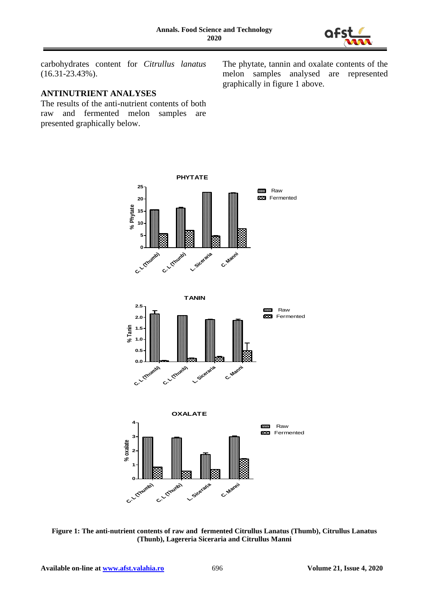

carbohydrates content for *Citrullus lanatus* (16.31-23.43%).

#### **ANTINUTRIENT ANALYSES**

The results of the anti-nutrient contents of both raw and fermented melon samples are presented graphically below.

The phytate, tannin and oxalate contents of the melon samples analysed are represented graphically in figure 1 above.



**Figure 1: The anti-nutrient contents of raw and fermented Citrullus Lanatus (Thumb), Citrullus Lanatus (Thunb), Lagereria Siceraria and Citrullus Manni**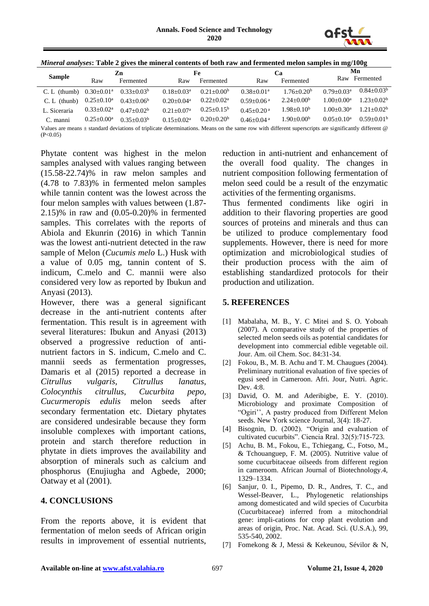

| Mineral analyses: Table 2 gives the mineral contents of both raw and fermented melon samples in mg/100g |
|---------------------------------------------------------------------------------------------------------|
|---------------------------------------------------------------------------------------------------------|

| <b>Sample</b>                                                                                                                                               | Zn                         |                 | Fe              |                 | Ca                         |                | Mn                  |                 |
|-------------------------------------------------------------------------------------------------------------------------------------------------------------|----------------------------|-----------------|-----------------|-----------------|----------------------------|----------------|---------------------|-----------------|
|                                                                                                                                                             | Raw                        | Fermented       | Raw             | Fermented       | Raw                        | Fermented      | Raw                 | Fermented       |
| $C. L$ (thumb)                                                                                                                                              | $0.30 \pm 0.01^{\text{a}}$ | $0.33+0.03b$    | $0.18 + 0.03^a$ | $0.21 + 0.00b$  | $0.38 + 0.01a$             | $1.76 + 0.20b$ | $0.79 + 0.03a$      | $0.84 + 0.03^b$ |
| $C. L$ (thunb)                                                                                                                                              | $0.25 \pm 0.10^a$          | $0.43 + 0.06^b$ | $0.20 + 0.04^a$ | $0.22 + 0.02^a$ | $0.59 + 0.06$ <sup>a</sup> | $2.24+0.00b$   | $1.00+0.00^a$       | $1.23 + 0.02b$  |
| L. Siceraria                                                                                                                                                | $0.33 \pm 0.02^a$          | $0.47+0.02b$    | $0.21 + 0.07a$  | $0.25 + 0.15^b$ | $0.45 + 0.20$ <sup>a</sup> | $1.98 + 0.10b$ | $1.00+0.30^{\rm a}$ | $1.21 + 0.02b$  |
| C. manni                                                                                                                                                    | $0.25 \pm 0.00^{\rm a}$    | $0.35 + 0.03b$  | $0.15 + 0.02^a$ | $0.20 + 0.20^b$ | $0.46 + 0.04$ <sup>a</sup> | $1.90+0.00b$   | $0.05 + 0.10^a$     | $0.59 + 0.01b$  |
| Values are means + standard deviations of triplicate determinations. Means on the same row with different superscripts are significantly different $\omega$ |                            |                 |                 |                 |                            |                |                     |                 |

Values are means  $\pm$  standard deviations of triplicate determinations. Means on the same row with different superscripts are significantly different @  $(P<0.05)$ 

Phytate content was highest in the melon samples analysed with values ranging between (15.58-22.74)% in raw melon samples and (4.78 to 7.83)% in fermented melon samples while tannin content was the lowest across the four melon samples with values between (1.87- 2.15)% in raw and (0.05-0.20)% in fermented samples. This correlates with the reports of Abiola and Ekunrin (2016) in which Tannin was the lowest anti-nutrient detected in the raw sample of Melon (*Cucumis melo* L.) Husk with a value of 0.05 mg, tannin content of S. indicum, C.melo and C. mannii were also considered very low as reported by Ibukun and Anyasi (2013).

However, there was a general significant decrease in the anti-nutrient contents after fermentation. This result is in agreement with several literatures: Ibukun and Anyasi (2013) observed a progressive reduction of antinutrient factors in S. indicum, C.melo and C. mannii seeds as fermentation progresses, Damaris et al (2015) reported a decrease in *Citrullus vulgaris, Citrullus lanatus, Colocynthis citrullus, Cucurbita pepo, Cucurmeropis edulis* melon seeds after secondary fermentation etc. Dietary phytates are considered undesirable because they form insoluble complexes with important cations, protein and starch therefore reduction in phytate in diets improves the availability and absorption of minerals such as calcium and phosphorus (Enujiugha and Agbede, 2000; Oatway et al (2001).

# **4. CONCLUSIONS**

From the reports above, it is evident that fermentation of melon seeds of African origin results in improvement of essential nutrients, reduction in anti-nutrient and enhancement of the overall food quality. The changes in nutrient composition following fermentation of melon seed could be a result of the enzymatic activities of the fermenting organisms.

Thus fermented condiments like ogiri in addition to their flavoring properties are good sources of proteins and minerals and thus can be utilized to produce complementary food supplements. However, there is need for more optimization and microbiological studies of their production process with the aim of establishing standardized protocols for their production and utilization.

#### **5. REFERENCES**

- [1] Mabalaha, M. B., Y. C Mitei and S. O. Yoboah (2007). A comparative study of the properties of selected melon seeds oils as potential candidates for development into commercial edible vegetable oil. Jour. Am. oil Chem. Soc. 84:31-34.
- [2] Fokou, B., M. B. Achu and T. M. Chaugues (2004). Preliminary nutritional evaluation of five species of egusi seed in Cameroon. Afri. Jour, Nutri. Agric. Dev. 4:8.
- [3] David, O. M. and Aderibigbe, E. Y. (2010). Microbiology and proximate Composition of "Ogiri'', A pastry produced from Different Melon seeds. New York science Journal, 3(4): 18-27.
- [4] Bisognin, D. (2002). "Origin and evaluation of cultivated cucurbits". Ciencia Rral. 32(5):715-723.
- [5] Achu, B. M., Fokou, E., Tchiegang, C., Fotso, M., & Tchouanguep, F. M. (2005). Nutritive value of some cucurbitaceae oilseeds from different region in cameroom. African Journal of Biotechnology.4, 1329–1334.
- [6] Sanjur, 0. I., Pipemo, D. R., Andres, T. C., and Wessel-Beaver, L., Phylogenetic relationships among domesticated and wild species of Cucurbita (Cucurbitaceae) inferred from a mitochondrial gene: impli-cations for crop plant evolution and areas of origin, Proc. Nat. Acad. Sci. (U.S.A.), 99, 535-540, 2002.
- [7] Fomekong & J, Messi & Kekeunou, Sévilor & N,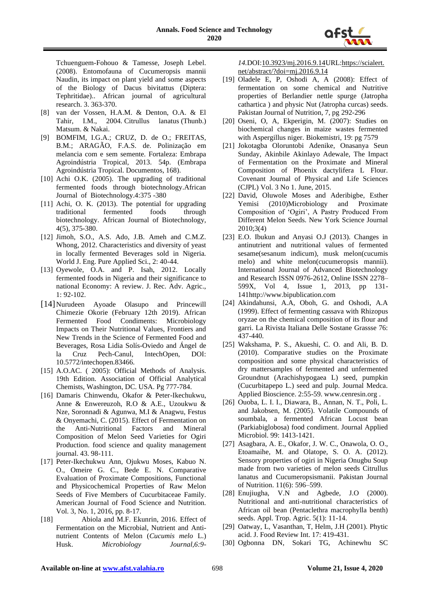

Tchuenguem-Fohouo & Tamesse, Joseph Lebel. (2008). Entomofauna of Cucumeropsis mannii Naudin, its impact on plant yield and some aspects of the Biology of Dacus bivitattus (Diptera: Tephritidae).. African journal of agricultural research. 3. 363-370.

- [8] van der Vossen, H.A.M. & Denton, O.A. & El Tahir, I.M., 2004. [Citrullus lanatus](https://www.prota4u.org/database/protav8.asp?h=M4&t=Citrullus,lanatus&p=Citrullus+lanatus#Synonyms) (Thunb.) Matsum. & Nakai.
- [9] BOMFIM, I.G.A.; CRUZ, D. de O.; FREITAS, B.M.; ARAGÃO, F.A.S. de. Polinização em melancia com e sem semente. Fortaleza: Embrapa Agroindústria Tropical, 2013. 54p. (Embrapa Agroindústria Tropical. Documentos, 168).
- [10] Achi O.K. (2005). The upgrading of traditional fermented foods through biotechnology.African Journal of Biotechnology.4:375 -380
- [11] Achi, O. K. (2013). The potential for upgrading traditional fermented foods through biotechnology. African Journal of Biotechnology, 4(5), 375-380.
- [12] Jimoh, S.O., A.S. Ado, J.B. Ameh and C.M.Z. Whong, 2012. Characteristics and diversity of yeast in locally fermented Beverages sold in Nigeria. World J. Eng. Pure Applied Sci., 2: 40-44.
- [13] Oyewole, O.A. and P. Isah, 2012. Locally fermented foods in Nigeria and their significance to national Economy: A review. J. Rec. Adv. Agric., 1: 92-102.
- [14] Nurudeen Ayoade Olasupo and Princewill Chimezie Okorie (February 12th 2019). African Fermented Food Condiments: Microbiology Impacts on Their Nutritional Values, Frontiers and New Trends in the Science of Fermented Food and Beverages, Rosa Lidia Solís-Oviedo and Ángel de la Cruz Pech-Canul, IntechOpen, DOI: 10.5772/intechopen.83466.
- [15] A.O.AC. ( 2005): Official Methods of Analysis. 19th Edition. Association of Official Analytical Chemists, Washington, DC. USA. Pg 777-784.
- [16] Damaris Chinwendu, Okafor & Peter-Ikechukwu, Anne & Enwereuzoh, R.O & A.E., Uzoukwu & Nze, Soronnadi & Agunwa, M.I & Anagwu, Festus & Onyemachi, C. (2015). Effect of Fermentation on the Anti-Nutritional Factors and Mineral Composition of Melon Seed Varieties for Ogiri Production. food science and quality management journal. 43. 98-111.
- [17] Peter-Ikechukwu Ann, Ojukwu Moses, Kabuo N. O., Omeire G. C., Bede E. N. Comparative Evaluation of Proximate Compositions, Functional and Physicochemical Properties of Raw Melon Seeds of Five Members of Cucurbitaceae Family. American Journal of Food Science and Nutrition. Vol. 3, No. 1, 2016, pp. 8-17.
- [18] Abiola and M.F. Ekunrin, 2016. Effect of Fermentation on the Microbial, Nutrient and Antinutrient Contents of Melon (*Cucumis melo* L.) Husk. *Microbiology Journal,6:9-*

*14.*DOI[:10.3923/mj.2016.9.14U](http://dx.doi.org/10.3923/mj.2016.9.14)RL[:https://scialert.](https://scialert.net/abstract/?doi=mj.2016.9.14) [net/abstract/?doi=mj.2016.9.14](https://scialert.net/abstract/?doi=mj.2016.9.14)

- [19] Oladele E, P, Oshodi A, A (2008): Effect of fermentation on some chemical and Nutritive properties of Berlandier nettle spurge (Jatropha cathartica ) and physic Nut (Jatropha curcas) seeds. Pakistan Journal of Nutrition, 7, pg 292-296
- [20] Oseni, O, A, Ekperigin, M. (2007): Studies on biochemical changes in maize wastes fermented with Aspergillus niger. Biokemistri, 19: pg 7579
- [21] Jokotagba Oloruntobi Adenike, Onasanya Seun Sunday, Akinbile Akinlayo Adewale, The Impact of Fermentation on the Proximate and Mineral Composition of Phoenix dactylifera L Flour. Covenant Journal of Physical and Life Sciences (CJPL) Vol. 3 No 1. June, 2015.
- [22] David, Oluwole Moses and Aderibigbe, Esther Yemisi (2010)Microbiology and Proximate Composition of 'Ogiri', A Pastry Produced From Different Melon Seeds. New York Science Journal 2010;3(4)
- [23] E.O. Ibukun and Anyasi O.J (2013). Changes in antinutrient and nutritional values of fermented sesame(sesanum indicum), musk melon(cucumis melo) and white melon(cucumeropsis mannii). International Journal of Advanced Biotechnology and Research ISSN 0976-2612, Online ISSN 2278– 599X, Vol 4, Issue 1, 2013, pp 131- 141http://www.bipublication.com
- [24] Akindahunsi, A.A, Oboh, G. and Oshodi, A.A (1999). Effect of fermenting cassava with Rhizopus oryzae on the chemical composition of its flour and garri. La Rivista Italiana Delle Sostane Grassse 76: 437-440.
- [25] Wakshama, P. S., Akueshi, C. O. and Ali, B. D. (2010). Comparative studies on the Proximate composition and some physical characteristics of dry mattersamples of fermented and unfermented Groundnut (Arachishypogaea L) seed, pumpkin (Cucurbitapepo L.) seed and pulp. Journal Medca. Applied Bioscience. 2:55-59. www.cenresin.org .
- [26] Ouoba, L. I. I., Diawara, B., Annan, N. T., Poli, L. and Jakobsen, M. (2005). Volatile Compounds of soumbala, a fermented African Locust bean (Parkiabiglobosa) food condiment. Journal Applied Microbiol. 99: 1413-1421.
- [27] Asagbara, A. E., Okafor, J. W. C., Onawola, O. O., Etoamaihe, M. and Olatope, S. O. A. (2012). Sensory properties of ogiri in Nigeria Onugbu Soup made from two varieties of melon seeds Citrullus lanatus and Cucumeropsismanii. Pakistan Journal of Nutrition. 11(6): 596–599.
- [28] Enujiugha, V.N and Agbede, J.O (2000). Nutritional and anti-nutritional characteristics of African oil bean (Pentaclethra macrophylla benth) seeds. Appl. Trop. Agric. 5(1): 11-14.
- [29] Oatway, L, Vasanthan, T, Helm, J.H (2001). Phytic acid. J. Food Review Int. 17: 419-431.
- [30] Ogbonna DN, Sokari TG, Achinewhu SC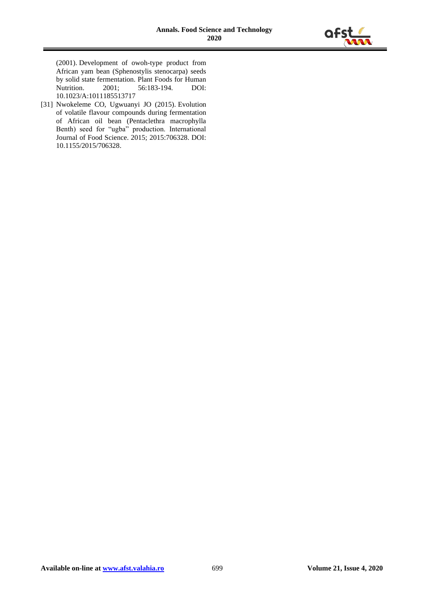

(2001). Development of owoh-type product from African yam bean (Sphenostylis stenocarpa) seeds by solid state fermentation. Plant Foods for Human<br>Nutrition. 2001; 56:183-194. DOI: 56:183-194. 10.1023/A:1011185513717

[31] Nwokeleme CO, Ugwuanyi JO (2015). Evolution of volatile flavour compounds during fermentation of African oil bean (Pentaclethra macrophylla Benth) seed for "ugba" production. International Journal of Food Science. 2015; 2015:706328. DOI: 10.1155/2015/706328.